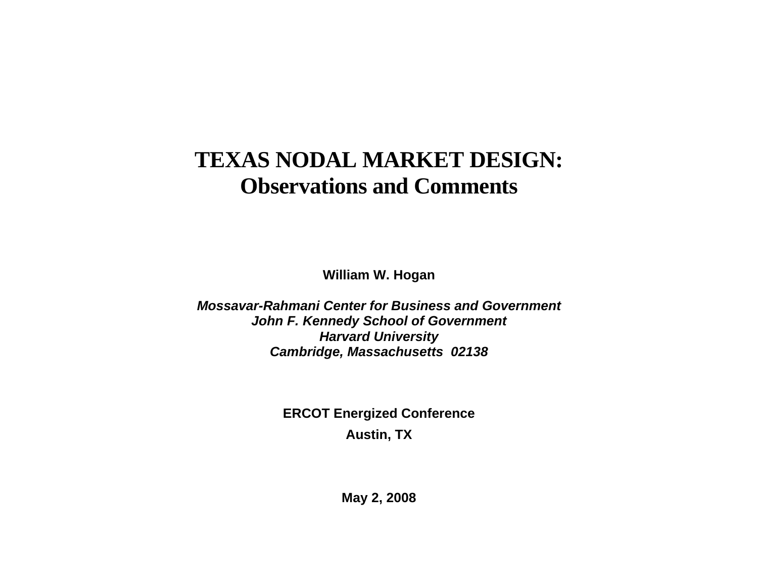# **TEXAS NODAL MARKET DESIGN: Observations and Comments**

**William W. Hogan** 

*Mossavar-Rahmani Center for Business and Government John F. Kennedy School of Government Harvard University Cambridge, Massachusetts 02138*

> **ERCOT Energized Conference Austin, TX**

> > **May 2, 2008**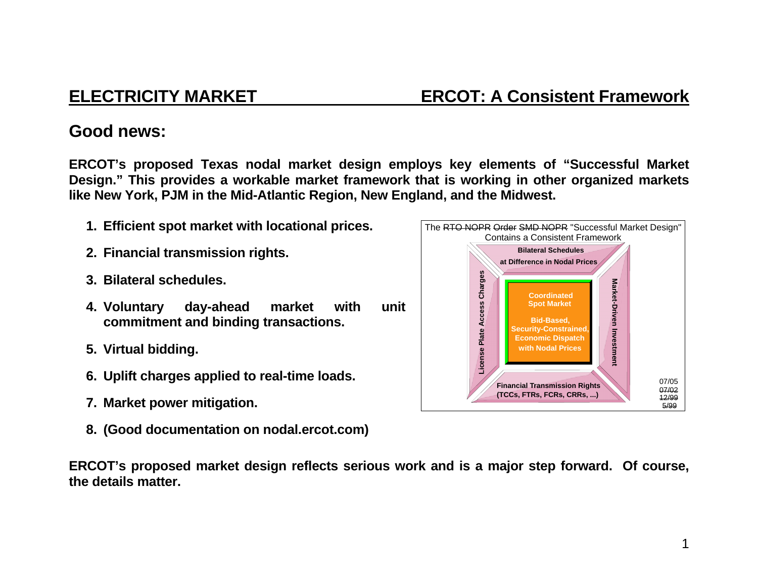## **Good news:**

**ERCOT's proposed Texas nodal market design employs key elements of "Successful Market Design." This provides a workable market framework that is working in other organized markets like New York, PJM in the Mid-Atlantic Region, New England, and the Midwest.** 

- **1. Efficient spot market with locational prices.**
- **2. Financial transmission rights.**
- **3. Bilateral schedules.**
- **4. Voluntary day-ahead market with unit commitment and binding transactions.**
- **5. Virtual bidding.**
- **6. Uplift charges applied to real-time loads.**
- **7. Market power mitigation.**
- **8. (Good documentation on nodal.ercot.com)**

**ERCOT's proposed market design reflects serious work and is a major step forward. Of course, the details matter.** 

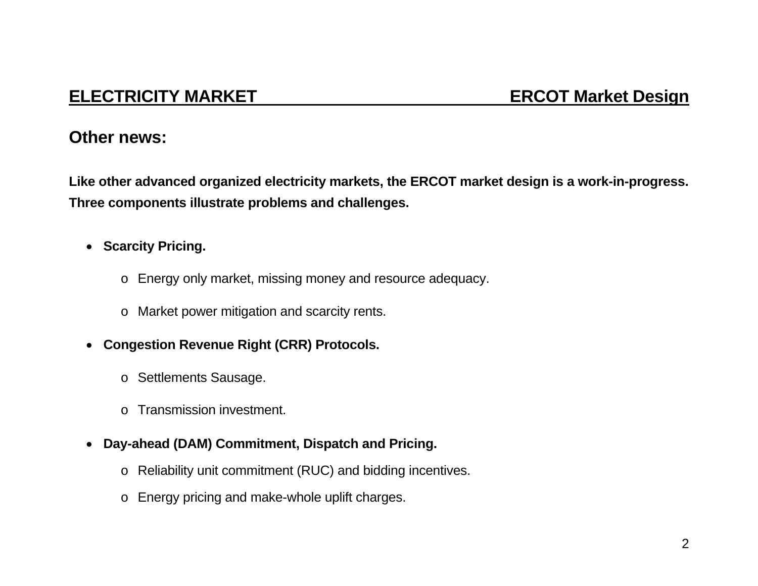## **ELECTRICITY MARKET ERCOT Market Design**

### **Other news:**

**Like other advanced organized electricity markets, the ERCOT market design is a work-in-progress. Three components illustrate problems and challenges.** 

- **Scarcity Pricing.** 
	- <sup>o</sup> Energy only market, missing money and resource adequacy.
	- <sup>o</sup> Market power mitigation and scarcity rents.
- $\bullet$  **Congestion Revenue Right (CRR) Protocols.** 
	- <sup>o</sup> Settlements Sausage.
	- o Transmission investment.
- **Day-ahead (DAM) Commitment, Dispatch and Pricing.** 
	- <sup>o</sup> Reliability unit commitment (RUC) and bidding incentives.
	- o Energy pricing and make-whole uplift charges.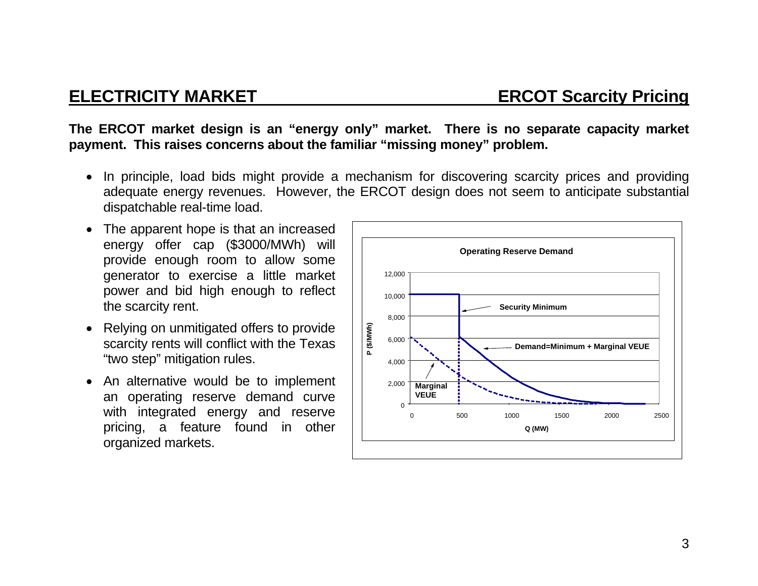**The ERCOT market design is an "energy only" market. There is no separate capacity market payment. This raises concerns about the familiar "missing money" problem.** 

- In principle, load bids might provide a mechanism for discovering scarcity prices and providing adequate energy revenues. However, the ERCOT design does not seem to anticipate substantial dispatchable real-time load.
- The apparent hope is that an increased energy offer cap (\$3000/MWh) will provide enough room to allow some generator to exercise a little market power and bid high enough to reflect the scarcity rent.
- Relying on unmitigated offers to provide scarcity rents will conflict with the Texas "two step" mitigation rules.
- An alternative would be to implement an operating reserve demand curve with integrated energy and reserve pricing, a feature found in other organized markets.

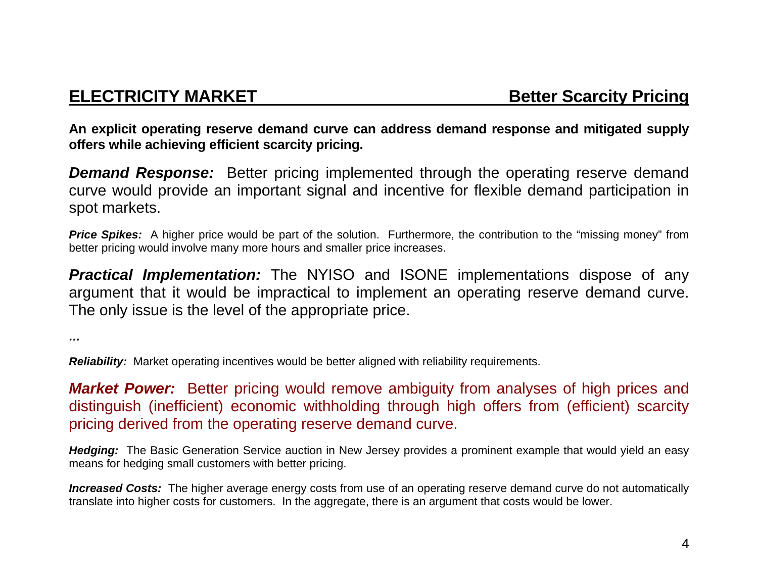**An explicit operating reserve demand curve can address demand response and mitigated supply offers while achieving efficient scarcity pricing.** 

*Demand Response:* Better pricing implemented through the operating reserve demand curve would provide an important signal and incentive for flexible demand participation in spot markets.

**Price Spikes:** A higher price would be part of the solution. Furthermore, the contribution to the "missing money" from better pricing would involve many more hours and smaller price increases.

*Practical Implementation:* The NYISO and ISONE implementations dispose of any argument that it would be impractical to implement an operating reserve demand curve. The only issue is the level of the appropriate price.

*…* 

*Reliability:* Market operating incentives would be better aligned with reliability requirements.

*Market Power:* Better pricing would remove ambiguity from analyses of high prices and distinguish (inefficient) economic withholding through high offers from (efficient) scarcity pricing derived from the operating reserve demand curve.

*Hedging:* The Basic Generation Service auction in New Jersey provides a prominent example that would yield an easy means for hedging small customers with better pricing.

*Increased Costs:* The higher average energy costs from use of an operating reserve demand curve do not automatically translate into higher costs for customers. In the aggregate, there is an argument that costs would be lower.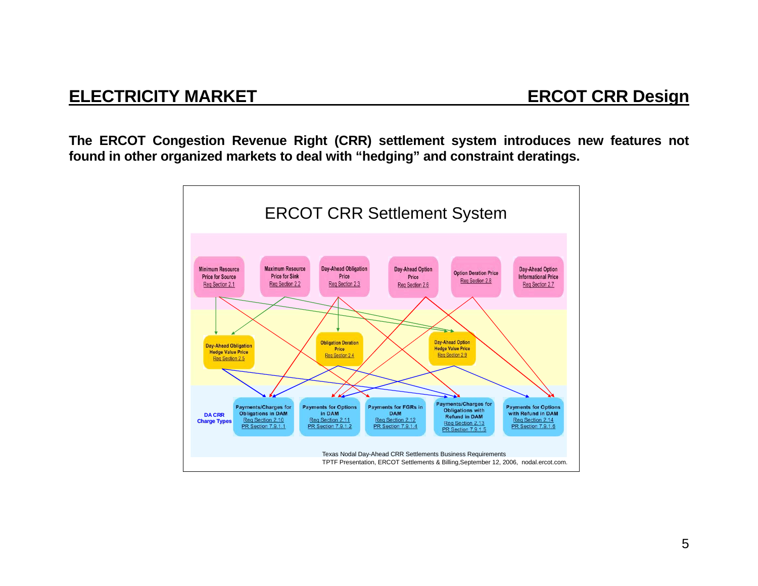## **ELECTRICITY MARKET ERCOT CRR Design**

**The ERCOT Congestion Revenue Right (CRR) settlement system introduces new features not found in other organized markets to deal with "hedging" and constraint deratings.** 

![](_page_5_Figure_3.jpeg)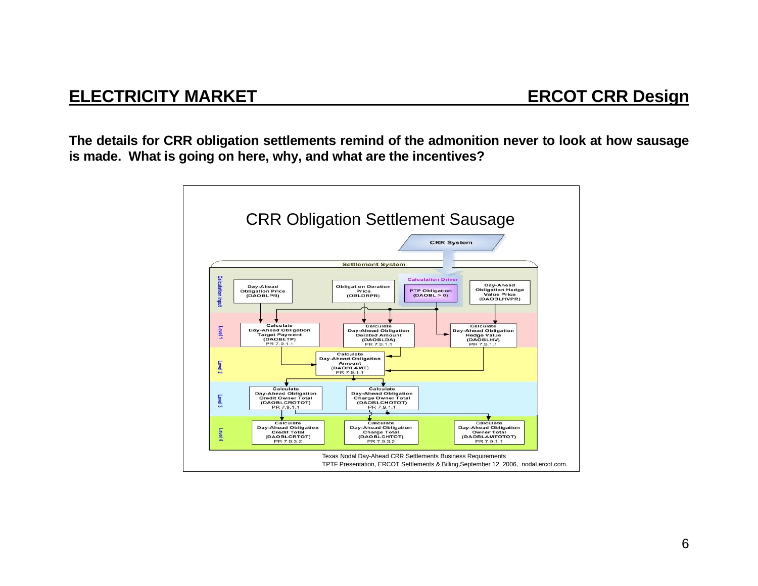## **ELECTRICITY MARKET ERCOT CRR Design**

**The details for CRR obligation settlements remind of the admonition never to look at how sausage is made. What is going on here, why, and what are the incentives?** 

![](_page_6_Figure_3.jpeg)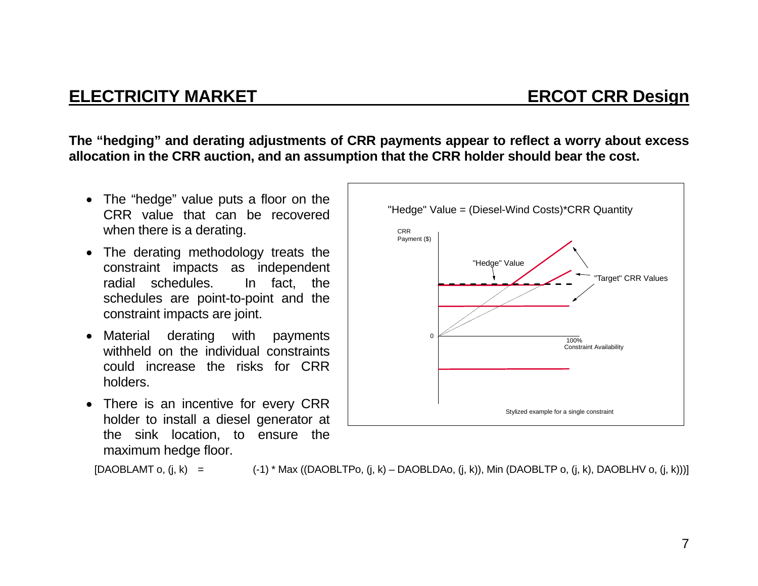## **ELECTRICITY MARKET ELECTRICITY MARKET**

**The "hedging" and derating adjustments of CRR payments appear to reflect a worry about excess allocation in the CRR auction, and an assumption that the CRR holder should bear the cost.** 

- The "hedge" value puts a floor on the CRR value that can be recovered when there is a derating.
- The derating methodology treats the constraint impacts as independent radial schedules. In fact, the schedules are point-to-point and the constraint impacts are joint.
- Material derating with payments withheld on the individual constraints could increase the risks for CRR holders.
- There is an incentive for every CRR holder to install a diesel generator at the sink location, to ensure the maximum hedge floor.

![](_page_7_Figure_7.jpeg)

 $[DAOBLAMT o, (j, k) =$  (-1) \* Max ( $[DAOBLTP o, (j, k) - DAOBLDAo, (j, k)$ ), Min  $[DAOBLTP o, (j, k)$ , DAOBLHV o,  $(i, k)$ )]]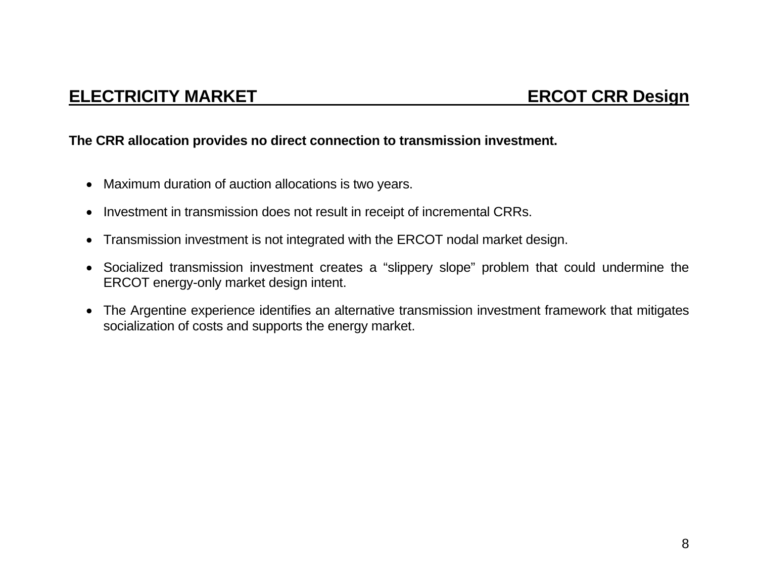#### **The CRR allocation provides no direct connection to transmission investment.**

- Maximum duration of auction allocations is two years.
- Investment in transmission does not result in receipt of incremental CRRs.
- Transmission investment is not integrated with the ERCOT nodal market design.
- Socialized transmission investment creates a "slippery slope" problem that could undermine the ERCOT energy-only market design intent.
- The Argentine experience identifies an alternative transmission investment framework that mitigates socialization of costs and supports the energy market.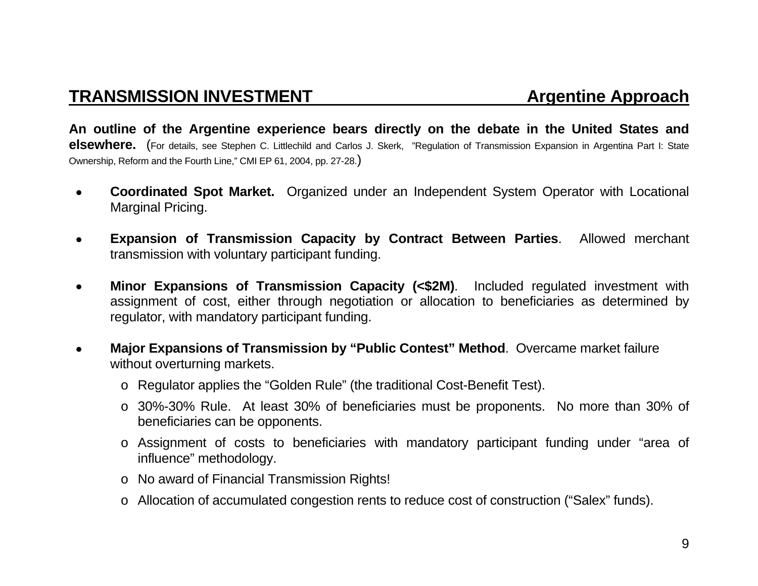## **TRANSMISSION INVESTMENT And Argentine Approach**

**An outline of the Argentine experience bears directly on the debate in the United States and elsewhere.** (For details, see Stephen C. Littlechild and Carlos J. Skerk, "Regulation of Transmission Expansion in Argentina Part I: State Ownership, Reform and the Fourth Line," CMI EP 61, 2004, pp. 27-28.)

- • **Coordinated Spot Market.** Organized under an Independent System Operator with Locational Marginal Pricing.
- • **Expansion of Transmission Capacity by Contract Between Parties**. Allowed merchant transmission with voluntary participant funding.
- • **Minor Expansions of Transmission Capacity (<\$2M)**. Included regulated investment with assignment of cost, either through negotiation or allocation to beneficiaries as determined by regulator, with mandatory participant funding.
- • **Major Expansions of Transmission by "Public Contest" Method**. Overcame market failure without overturning markets.
	- <sup>o</sup> Regulator applies the "Golden Rule" (the traditional Cost-Benefit Test).
	- <sup>o</sup> 30%-30% Rule. At least 30% of beneficiaries must be proponents. No more than 30% of beneficiaries can be opponents.
	- <sup>o</sup> Assignment of costs to beneficiaries with mandatory participant funding under "area of influence" methodology.
	- <sup>o</sup> No award of Financial Transmission Rights!
	- o Allocation of accumulated congestion rents to reduce cost of construction ("Salex" funds).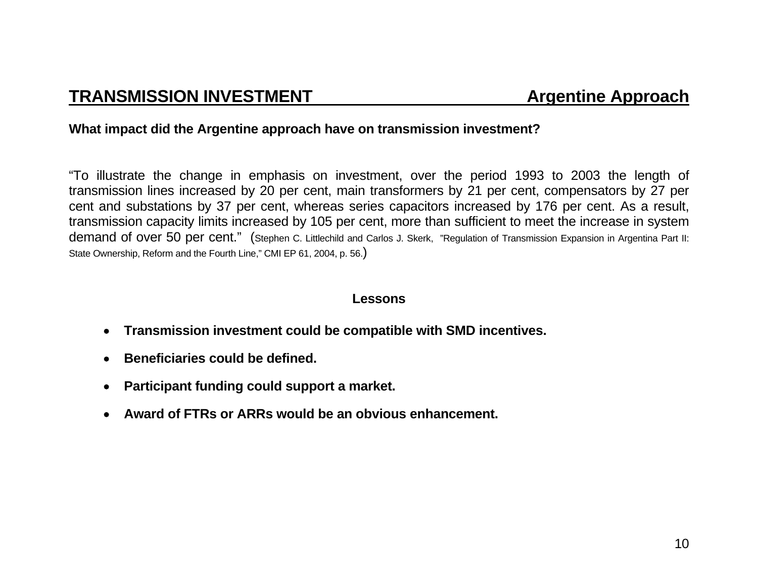#### **What impact did the Argentine approach have on transmission investment?**

"To illustrate the change in emphasis on investment, over the period 1993 to 2003 the length of transmission lines increased by 20 per cent, main transformers by 21 per cent, compensators by 27 per cent and substations by 37 per cent, whereas series capacitors increased by 176 per cent. As a result, transmission capacity limits increased by 105 per cent, more than sufficient to meet the increase in system demand of over 50 per cent." (Stephen C. Littlechild and Carlos J. Skerk, "Regulation of Transmission Expansion in Argentina Part II: State Ownership, Reform and the Fourth Line," CMI EP 61, 2004, p. 56.)

#### **Lessons**

- • **Transmission investment could be compatible with SMD incentives.**
- • **Beneficiaries could be defined.**
- • **Participant funding could support a market.**
- • **Award of FTRs or ARRs would be an obvious enhancement.**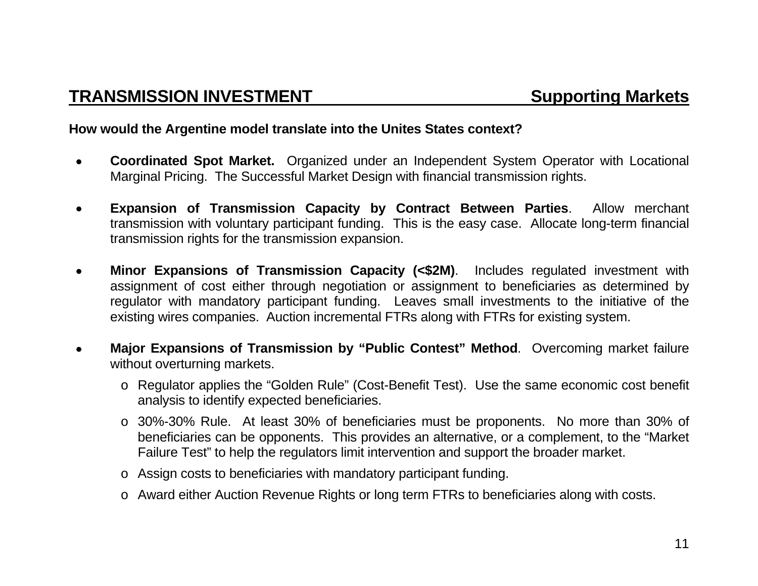#### **How would the Argentine model translate into the Unites States context?**

- • **Coordinated Spot Market.** Organized under an Independent System Operator with Locational Marginal Pricing. The Successful Market Design with financial transmission rights.
- • **Expansion of Transmission Capacity by Contract Between Parties**. Allow merchant transmission with voluntary participant funding. This is the easy case. Allocate long-term financial transmission rights for the transmission expansion.
- • **Minor Expansions of Transmission Capacity (<\$2M)**. Includes regulated investment with assignment of cost either through negotiation or assignment to beneficiaries as determined by regulator with mandatory participant funding. Leaves small investments to the initiative of the existing wires companies. Auction incremental FTRs along with FTRs for existing system.
- • **Major Expansions of Transmission by "Public Contest" Method**. Overcoming market failure without overturning markets.
	- <sup>o</sup> Regulator applies the "Golden Rule" (Cost-Benefit Test). Use the same economic cost benefit analysis to identify expected beneficiaries.
	- <sup>o</sup> 30%-30% Rule. At least 30% of beneficiaries must be proponents. No more than 30% of beneficiaries can be opponents. This provides an alternative, or a complement, to the "Market Failure Test" to help the regulators limit intervention and support the broader market.
	- <sup>o</sup> Assign costs to beneficiaries with mandatory participant funding.
	- o Award either Auction Revenue Rights or long term FTRs to beneficiaries along with costs.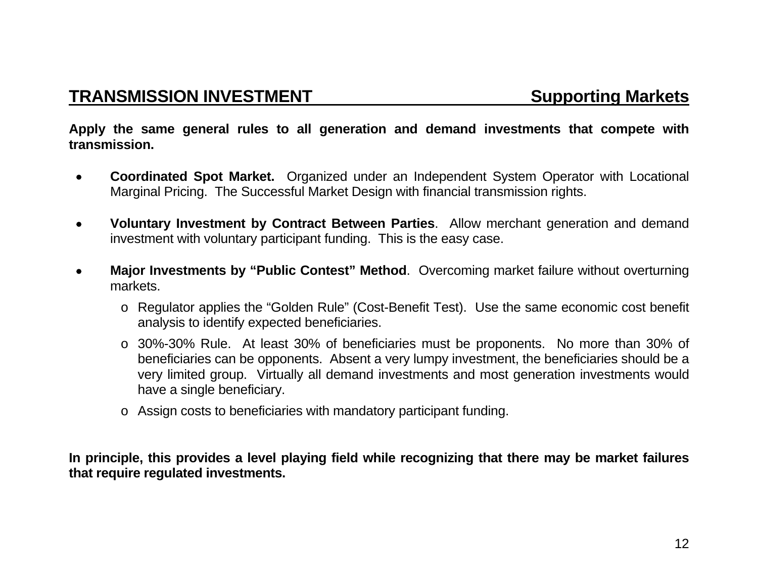**Apply the same general rules to all generation and demand investments that compete with transmission.** 

- • **Coordinated Spot Market.** Organized under an Independent System Operator with Locational Marginal Pricing. The Successful Market Design with financial transmission rights.
- • **Voluntary Investment by Contract Between Parties**. Allow merchant generation and demand investment with voluntary participant funding. This is the easy case.
- • **Major Investments by "Public Contest" Method**. Overcoming market failure without overturning markets.
	- <sup>o</sup> Regulator applies the "Golden Rule" (Cost-Benefit Test). Use the same economic cost benefit analysis to identify expected beneficiaries.
	- <sup>o</sup> 30%-30% Rule. At least 30% of beneficiaries must be proponents. No more than 30% of beneficiaries can be opponents. Absent a very lumpy investment, the beneficiaries should be a very limited group. Virtually all demand investments and most generation investments would have a single beneficiary.
	- <sup>o</sup> Assign costs to beneficiaries with mandatory participant funding.

**In principle, this provides a level playing field while recognizing that there may be market failures that require regulated investments.**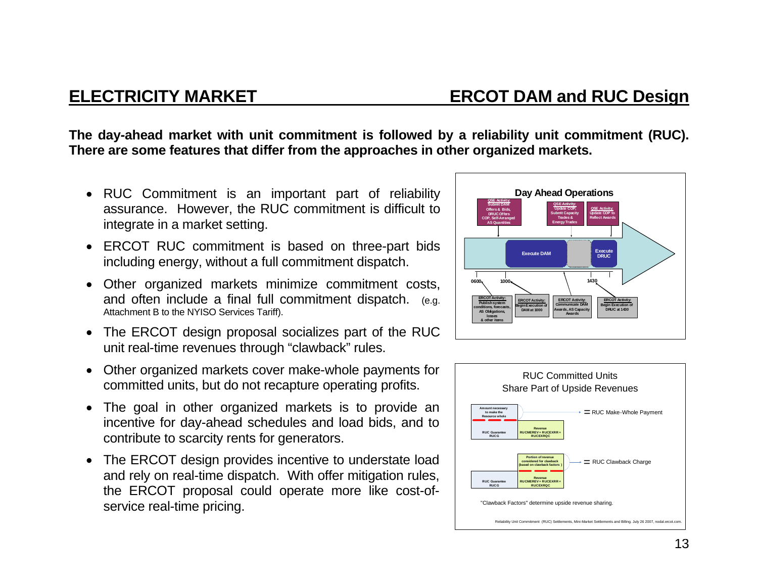**The day-ahead market with unit commitment is followed by a reliability unit commitment (RUC). There are some features that differ from the approaches in other organized markets.** 

- RUC Commitment is an important part of reliability assurance. However, the RUC commitment is difficult to integrate in a market setting.
- ERCOT RUC commitment is based on three-part bids including energy, without a full commitment dispatch.
- Other organized markets minimize commitment costs, and often include a final full commitment dispatch. (e.g. Attachment B to the NYISO Services Tariff).
- The ERCOT design proposal socializes part of the RUC unit real-time revenues through "clawback" rules.
- Other organized markets cover make-whole payments for committed units, but do not recapture operating profits.
- The goal in other organized markets is to provide an incentive for day-ahead schedules and load bids, and to contribute to scarcity rents for generators.
- The ERCOT design provides incentive to understate load and rely on real-time dispatch. With offer mitigation rules, the ERCOT proposal could operate more like cost-ofservice real-time pricing.

![](_page_13_Figure_10.jpeg)

![](_page_13_Figure_11.jpeg)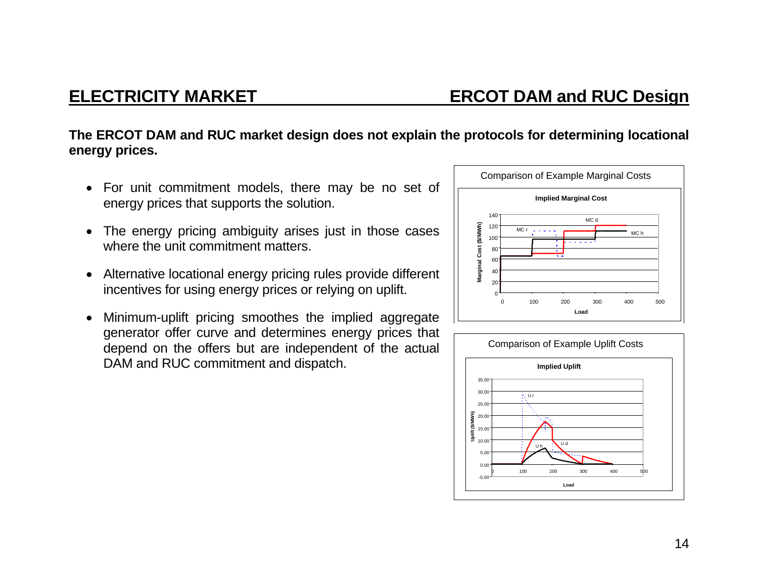### **The ERCOT DAM and RUC market design does not explain the protocols for determining locational energy prices.**

- For unit commitment models, there may be no set of energy prices that supports the solution.
- The energy pricing ambiguity arises just in those cases where the unit commitment matters.
- Alternative locational energy pricing rules provide different incentives for using energy prices or relying on uplift.
- Minimum-uplift pricing smoothes the implied aggregate generator offer curve and determines energy prices that depend on the offers but are independent of the actual DAM and RUC commitment and dispatch.

![](_page_14_Figure_7.jpeg)

![](_page_14_Figure_8.jpeg)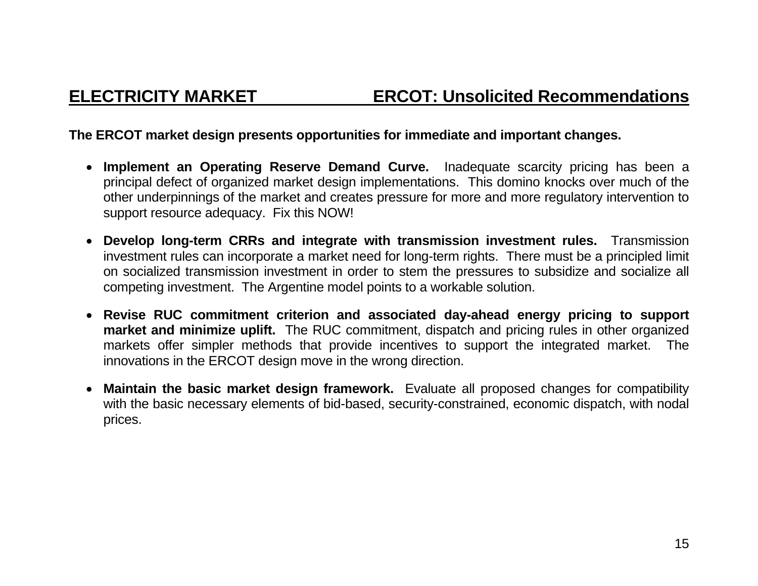## **ELECTRICITY MARKET ERCOT: Unsolicited Recommendations**

### **The ERCOT market design presents opportunities for immediate and important changes.**

- **Implement an Operating Reserve Demand Curve.** Inadequate scarcity pricing has been a principal defect of organized market design implementations. This domino knocks over much of the other underpinnings of the market and creates pressure for more and more regulatory intervention to support resource adequacy. Fix this NOW!
- **Develop long-term CRRs and integrate with transmission investment rules.** Transmission investment rules can incorporate a market need for long-term rights. There must be a principled limit on socialized transmission investment in order to stem the pressures to subsidize and socialize all competing investment. The Argentine model points to a workable solution.
- **Revise RUC commitment criterion and associated day-ahead energy pricing to support market and minimize uplift.** The RUC commitment, dispatch and pricing rules in other organized markets offer simpler methods that provide incentives to support the integrated market. The innovations in the ERCOT design move in the wrong direction.
- **Maintain the basic market design framework.** Evaluate all proposed changes for compatibility with the basic necessary elements of bid-based, security-constrained, economic dispatch, with nodal prices.